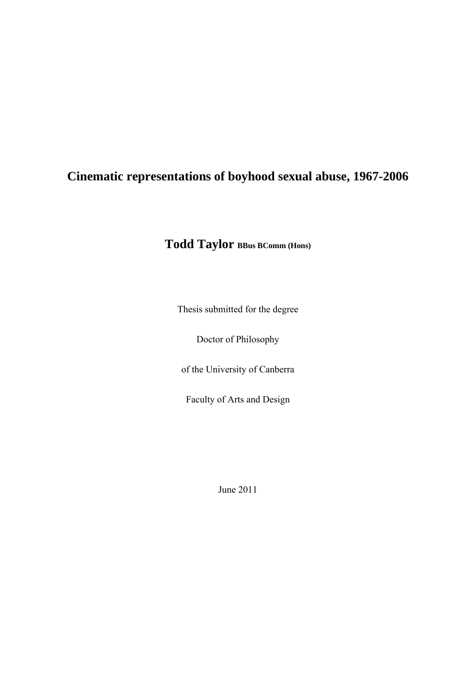# **Cinematic representations of boyhood sexual abuse, 1967-2006**

**Todd Taylor BBus BComm (Hons)**

Thesis submitted for the degree

Doctor of Philosophy

of the University of Canberra

Faculty of Arts and Design

June 2011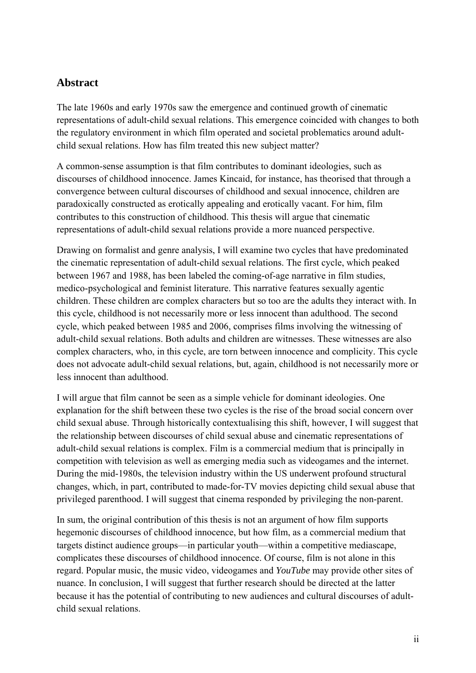### **Abstract**

The late 1960s and early 1970s saw the emergence and continued growth of cinematic representations of adult-child sexual relations. This emergence coincided with changes to both the regulatory environment in which film operated and societal problematics around adultchild sexual relations. How has film treated this new subject matter?

A common-sense assumption is that film contributes to dominant ideologies, such as discourses of childhood innocence. James Kincaid, for instance, has theorised that through a convergence between cultural discourses of childhood and sexual innocence, children are paradoxically constructed as erotically appealing and erotically vacant. For him, film contributes to this construction of childhood. This thesis will argue that cinematic representations of adult-child sexual relations provide a more nuanced perspective.

Drawing on formalist and genre analysis, I will examine two cycles that have predominated the cinematic representation of adult-child sexual relations. The first cycle, which peaked between 1967 and 1988, has been labeled the coming-of-age narrative in film studies, medico-psychological and feminist literature. This narrative features sexually agentic children. These children are complex characters but so too are the adults they interact with. In this cycle, childhood is not necessarily more or less innocent than adulthood. The second cycle, which peaked between 1985 and 2006, comprises films involving the witnessing of adult-child sexual relations. Both adults and children are witnesses. These witnesses are also complex characters, who, in this cycle, are torn between innocence and complicity. This cycle does not advocate adult-child sexual relations, but, again, childhood is not necessarily more or less innocent than adulthood.

I will argue that film cannot be seen as a simple vehicle for dominant ideologies. One explanation for the shift between these two cycles is the rise of the broad social concern over child sexual abuse. Through historically contextualising this shift, however, I will suggest that the relationship between discourses of child sexual abuse and cinematic representations of adult-child sexual relations is complex. Film is a commercial medium that is principally in competition with television as well as emerging media such as videogames and the internet. During the mid-1980s, the television industry within the US underwent profound structural changes, which, in part, contributed to made-for-TV movies depicting child sexual abuse that privileged parenthood. I will suggest that cinema responded by privileging the non-parent.

In sum, the original contribution of this thesis is not an argument of how film supports hegemonic discourses of childhood innocence, but how film, as a commercial medium that targets distinct audience groups—in particular youth—within a competitive mediascape, complicates these discourses of childhood innocence. Of course, film is not alone in this regard. Popular music, the music video, videogames and *YouTube* may provide other sites of nuance. In conclusion, I will suggest that further research should be directed at the latter because it has the potential of contributing to new audiences and cultural discourses of adultchild sexual relations.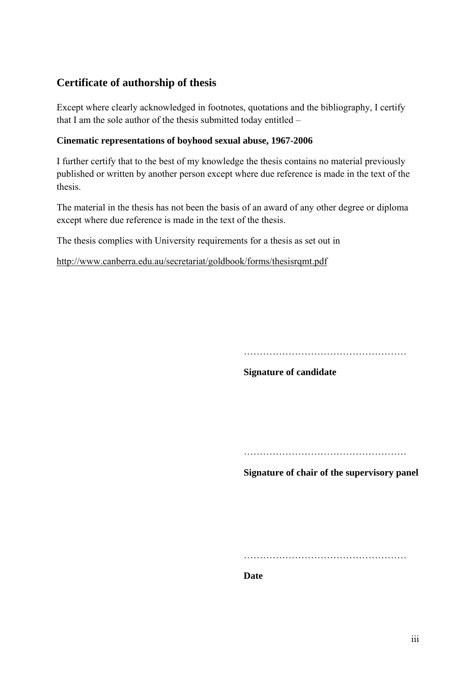### **Certificate of authorship of thesis**

Except where clearly acknowledged in footnotes, quotations and the bibliography, I certify that I am the sole author of the thesis submitted today entitled –

#### **Cinematic representations of boyhood sexual abuse, 1967-2006**

I further certify that to the best of my knowledge the thesis contains no material previously published or written by another person except where due reference is made in the text of the thesis.

The material in the thesis has not been the basis of an award of any other degree or diploma except where due reference is made in the text of the thesis.

The thesis complies with University requirements for a thesis as set out in

http://www.canberra.edu.au/secretariat/goldbook/forms/thesisrqmt.pdf

……………………………………………

**Signature of candidate** 

……………………………………………

**Signature of chair of the supervisory panel** 

……………………………………………

**Date**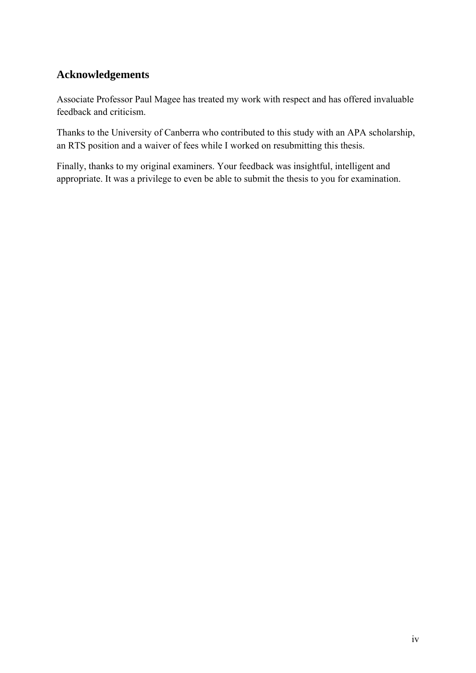### **Acknowledgements**

Associate Professor Paul Magee has treated my work with respect and has offered invaluable feedback and criticism.

Thanks to the University of Canberra who contributed to this study with an APA scholarship, an RTS position and a waiver of fees while I worked on resubmitting this thesis.

Finally, thanks to my original examiners. Your feedback was insightful, intelligent and appropriate. It was a privilege to even be able to submit the thesis to you for examination.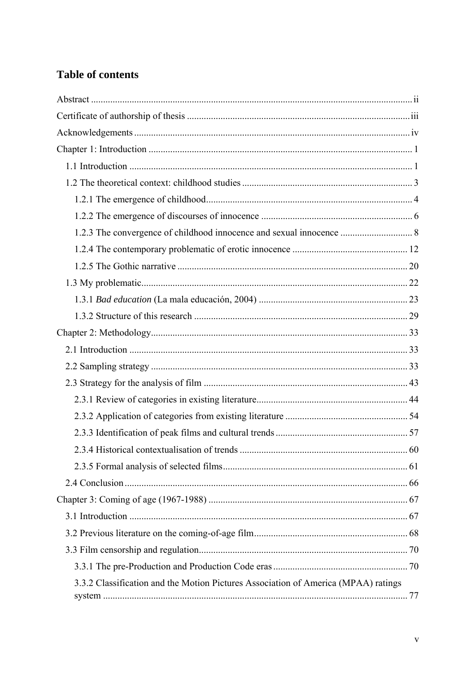## **Table of contents**

| 3.3.2 Classification and the Motion Pictures Association of America (MPAA) ratings |  |
|------------------------------------------------------------------------------------|--|
|                                                                                    |  |